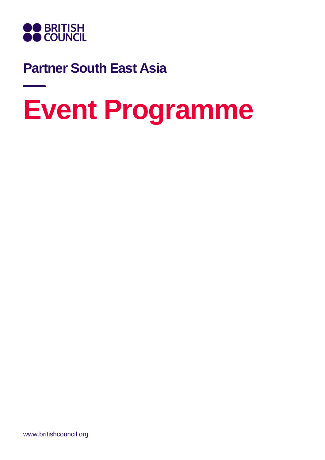

## **Partner South East Asia**

## **Event Programme**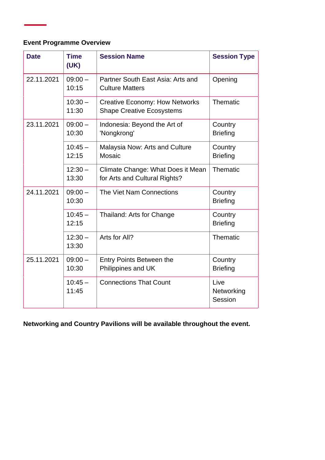## **Event Programme Overview**

| <b>Date</b> | <b>Time</b><br>(UK) | <b>Session Name</b>                                                       | <b>Session Type</b>           |
|-------------|---------------------|---------------------------------------------------------------------------|-------------------------------|
| 22.11.2021  | $09:00 -$<br>10:15  | Partner South East Asia: Arts and<br><b>Culture Matters</b>               | Opening                       |
|             | $10:30 -$<br>11:30  | <b>Creative Economy: How Networks</b><br><b>Shape Creative Ecosystems</b> | Thematic                      |
| 23.11.2021  | $09:00 -$<br>10:30  | Indonesia: Beyond the Art of<br>'Nongkrong'                               | Country<br><b>Briefing</b>    |
|             | $10:45 -$<br>12:15  | Malaysia Now: Arts and Culture<br>Mosaic                                  | Country<br><b>Briefing</b>    |
|             | $12:30 -$<br>13:30  | Climate Change: What Does it Mean<br>for Arts and Cultural Rights?        | Thematic                      |
| 24.11.2021  | $09:00 -$<br>10:30  | The Viet Nam Connections                                                  | Country<br><b>Briefing</b>    |
|             | $10:45 -$<br>12:15  | Thailand: Arts for Change                                                 | Country<br><b>Briefing</b>    |
|             | $12:30 -$<br>13:30  | Arts for All?                                                             | Thematic                      |
| 25.11.2021  | $09:00 -$<br>10:30  | <b>Entry Points Between the</b><br>Philippines and UK                     | Country<br><b>Briefing</b>    |
|             | $10:45 -$<br>11:45  | <b>Connections That Count</b>                                             | Live<br>Networking<br>Session |

**Networking and Country Pavilions will be available throughout the event.**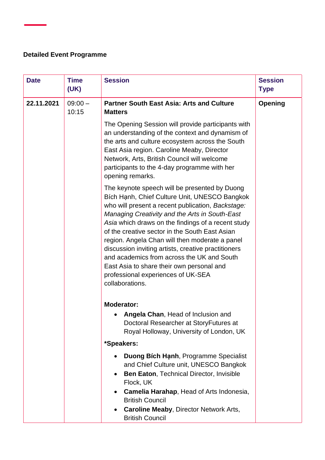## **Detailed Event Programme**

| <b>Date</b> | <b>Time</b><br>(UK) | <b>Session</b>                                                                                                                                                                                                                                                                                                                                                                                                                                                                                                                                                             | <b>Session</b><br><b>Type</b> |
|-------------|---------------------|----------------------------------------------------------------------------------------------------------------------------------------------------------------------------------------------------------------------------------------------------------------------------------------------------------------------------------------------------------------------------------------------------------------------------------------------------------------------------------------------------------------------------------------------------------------------------|-------------------------------|
| 22.11.2021  | $09:00 -$<br>10:15  | <b>Partner South East Asia: Arts and Culture</b><br><b>Matters</b>                                                                                                                                                                                                                                                                                                                                                                                                                                                                                                         | Opening                       |
|             |                     | The Opening Session will provide participants with<br>an understanding of the context and dynamism of<br>the arts and culture ecosystem across the South<br>East Asia region. Caroline Meaby, Director<br>Network, Arts, British Council will welcome<br>participants to the 4-day programme with her<br>opening remarks.                                                                                                                                                                                                                                                  |                               |
|             |                     | The keynote speech will be presented by Duong<br>Bích Hạnh, Chief Culture Unit, UNESCO Bangkok<br>who will present a recent publication, Backstage:<br>Managing Creativity and the Arts in South-East<br>Asia which draws on the findings of a recent study<br>of the creative sector in the South East Asian<br>region. Angela Chan will then moderate a panel<br>discussion inviting artists, creative practitioners<br>and academics from across the UK and South<br>East Asia to share their own personal and<br>professional experiences of UK-SEA<br>collaborations. |                               |
|             |                     | <b>Moderator:</b><br>Angela Chan, Head of Inclusion and<br>Doctoral Researcher at StoryFutures at<br>Royal Holloway, University of London, UK                                                                                                                                                                                                                                                                                                                                                                                                                              |                               |
|             |                     | *Speakers:                                                                                                                                                                                                                                                                                                                                                                                                                                                                                                                                                                 |                               |
|             |                     | Duong Bích Hạnh, Programme Specialist<br>and Chief Culture unit, UNESCO Bangkok<br><b>Ben Eaton, Technical Director, Invisible</b><br>٠<br>Flock, UK<br>Camelia Harahap, Head of Arts Indonesia,<br><b>British Council</b><br><b>Caroline Meaby, Director Network Arts,</b>                                                                                                                                                                                                                                                                                                |                               |
|             |                     | <b>British Council</b>                                                                                                                                                                                                                                                                                                                                                                                                                                                                                                                                                     |                               |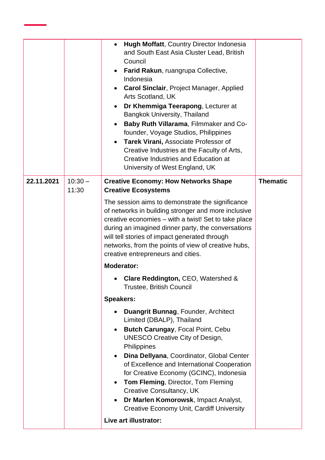|            |                    | Hugh Moffatt, Country Director Indonesia<br>$\bullet$<br>and South East Asia Cluster Lead, British<br>Council<br>Farid Rakun, ruangrupa Collective,<br>Indonesia<br><b>Carol Sinclair, Project Manager, Applied</b><br>Arts Scotland, UK<br>Dr Khemmiga Teerapong, Lecturer at<br>Bangkok University, Thailand<br>Baby Ruth Villarama, Filmmaker and Co-<br>$\bullet$<br>founder, Voyage Studios, Philippines<br>Tarek Virani, Associate Professor of<br>$\bullet$<br>Creative Industries at the Faculty of Arts,<br><b>Creative Industries and Education at</b><br>University of West England, UK                                                                                                                                                                                                                                                                                                                                                                                                                                                                                                                            |                 |
|------------|--------------------|-------------------------------------------------------------------------------------------------------------------------------------------------------------------------------------------------------------------------------------------------------------------------------------------------------------------------------------------------------------------------------------------------------------------------------------------------------------------------------------------------------------------------------------------------------------------------------------------------------------------------------------------------------------------------------------------------------------------------------------------------------------------------------------------------------------------------------------------------------------------------------------------------------------------------------------------------------------------------------------------------------------------------------------------------------------------------------------------------------------------------------|-----------------|
| 22.11.2021 | $10:30 -$<br>11:30 | <b>Creative Economy: How Networks Shape</b><br><b>Creative Ecosystems</b><br>The session aims to demonstrate the significance<br>of networks in building stronger and more inclusive<br>creative economies – with a twist! Set to take place<br>during an imagined dinner party, the conversations<br>will tell stories of impact generated through<br>networks, from the points of view of creative hubs,<br>creative entrepreneurs and cities.<br><b>Moderator:</b><br>Clare Reddington, CEO, Watershed &<br><b>Trustee, British Council</b><br><b>Speakers:</b><br>Duangrit Bunnag, Founder, Architect<br>Limited (DBALP), Thailand<br>Butch Carungay, Focal Point, Cebu<br>$\bullet$<br><b>UNESCO Creative City of Design,</b><br>Philippines<br>Dina Dellyana, Coordinator, Global Center<br>$\bullet$<br>of Excellence and International Cooperation<br>for Creative Economy (GCINC), Indonesia<br>Tom Fleming, Director, Tom Fleming<br>$\bullet$<br><b>Creative Consultancy, UK</b><br>Dr Marlen Komorowsk, Impact Analyst,<br>$\bullet$<br><b>Creative Economy Unit, Cardiff University</b><br>Live art illustrator: | <b>Thematic</b> |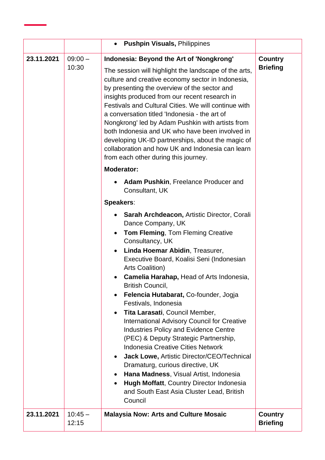|            |                    | <b>Pushpin Visuals, Philippines</b><br>$\bullet$                                                                                                                                                                                                                                                                                                                                                                                                                                                                                                                                                                                                                                                                                                                                                                                                                                                    |                            |
|------------|--------------------|-----------------------------------------------------------------------------------------------------------------------------------------------------------------------------------------------------------------------------------------------------------------------------------------------------------------------------------------------------------------------------------------------------------------------------------------------------------------------------------------------------------------------------------------------------------------------------------------------------------------------------------------------------------------------------------------------------------------------------------------------------------------------------------------------------------------------------------------------------------------------------------------------------|----------------------------|
| 23.11.2021 | $09:00 -$<br>10:30 | Indonesia: Beyond the Art of 'Nongkrong'<br>The session will highlight the landscape of the arts,<br>culture and creative economy sector in Indonesia,<br>by presenting the overview of the sector and<br>insights produced from our recent research in<br>Festivals and Cultural Cities. We will continue with<br>a conversation titled 'Indonesia - the art of<br>Nongkrong' led by Adam Pushkin with artists from<br>both Indonesia and UK who have been involved in<br>developing UK-ID partnerships, about the magic of<br>collaboration and how UK and Indonesia can learn<br>from each other during this journey.                                                                                                                                                                                                                                                                            | Country<br><b>Briefing</b> |
|            |                    | <b>Moderator:</b><br><b>Adam Pushkin, Freelance Producer and</b><br>Consultant, UK                                                                                                                                                                                                                                                                                                                                                                                                                                                                                                                                                                                                                                                                                                                                                                                                                  |                            |
|            |                    | Speakers:<br><b>Sarah Archdeacon, Artistic Director, Corali</b><br>$\bullet$<br>Dance Company, UK<br><b>Tom Fleming, Tom Fleming Creative</b><br>$\bullet$<br>Consultancy, UK<br>Linda Hoemar Abidin, Treasurer,<br>Executive Board, Koalisi Seni (Indonesian<br><b>Arts Coalition)</b><br>Camelia Harahap, Head of Arts Indonesia,<br><b>British Council,</b><br>Felencia Hutabarat, Co-founder, Jogja<br>Festivals, Indonesia<br>Tita Larasati, Council Member,<br><b>International Advisory Council for Creative</b><br><b>Industries Policy and Evidence Centre</b><br>(PEC) & Deputy Strategic Partnership,<br><b>Indonesia Creative Cities Network</b><br>Jack Lowe, Artistic Director/CEO/Technical<br>Dramaturg, curious directive, UK<br>Hana Madness, Visual Artist, Indonesia<br><b>Hugh Moffatt, Country Director Indonesia</b><br>and South East Asia Cluster Lead, British<br>Council |                            |
| 23.11.2021 | $10:45 -$<br>12:15 | <b>Malaysia Now: Arts and Culture Mosaic</b>                                                                                                                                                                                                                                                                                                                                                                                                                                                                                                                                                                                                                                                                                                                                                                                                                                                        | Country<br><b>Briefing</b> |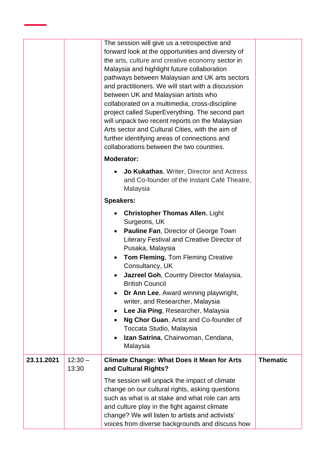|            |                    | The session will give us a retrospective and<br>forward look at the opportunities and diversity of<br>the arts, culture and creative economy sector in<br>Malaysia and highlight future collaboration<br>pathways between Malaysian and UK arts sectors<br>and practitioners. We will start with a discussion<br>between UK and Malaysian artists who<br>collaborated on a multimedia, cross-discipline<br>project called SuperEverything. The second part<br>will unpack two recent reports on the Malaysian<br>Arts sector and Cultural Cities, with the aim of<br>further identifying areas of connections and<br>collaborations between the two countries. |                 |
|------------|--------------------|----------------------------------------------------------------------------------------------------------------------------------------------------------------------------------------------------------------------------------------------------------------------------------------------------------------------------------------------------------------------------------------------------------------------------------------------------------------------------------------------------------------------------------------------------------------------------------------------------------------------------------------------------------------|-----------------|
|            |                    | <b>Moderator:</b>                                                                                                                                                                                                                                                                                                                                                                                                                                                                                                                                                                                                                                              |                 |
|            |                    | <b>Jo Kukathas, Writer, Director and Actress</b><br>and Co-founder of the Instant Café Theatre,<br>Malaysia                                                                                                                                                                                                                                                                                                                                                                                                                                                                                                                                                    |                 |
|            |                    | <b>Speakers:</b>                                                                                                                                                                                                                                                                                                                                                                                                                                                                                                                                                                                                                                               |                 |
|            |                    | <b>Christopher Thomas Allen, Light</b><br>$\bullet$<br>Surgeons, UK<br><b>Pauline Fan, Director of George Town</b><br>$\bullet$<br>Literary Festival and Creative Director of<br>Pusaka, Malaysia<br><b>Tom Fleming, Tom Fleming Creative</b><br>$\bullet$<br>Consultancy, UK<br>Jazreel Goh, Country Director Malaysia,<br><b>British Council</b><br>Dr Ann Lee, Award winning playwright,<br>writer, and Researcher, Malaysia<br>Lee Jia Ping, Researcher, Malaysia<br>Ng Chor Guan, Artist and Co-founder of                                                                                                                                                |                 |
|            |                    | Toccata Studio, Malaysia                                                                                                                                                                                                                                                                                                                                                                                                                                                                                                                                                                                                                                       |                 |
|            |                    | Izan Satrina, Chairwoman, Cendana,<br>$\bullet$<br>Malaysia                                                                                                                                                                                                                                                                                                                                                                                                                                                                                                                                                                                                    |                 |
| 23.11.2021 | $12:30 -$<br>13:30 | <b>Climate Change: What Does it Mean for Arts</b><br>and Cultural Rights?                                                                                                                                                                                                                                                                                                                                                                                                                                                                                                                                                                                      | <b>Thematic</b> |
|            |                    | The session will unpack the impact of climate<br>change on our cultural rights, asking questions<br>such as what is at stake and what role can arts<br>and culture play in the fight against climate<br>change? We will listen to artists and activists'<br>voices from diverse backgrounds and discuss how                                                                                                                                                                                                                                                                                                                                                    |                 |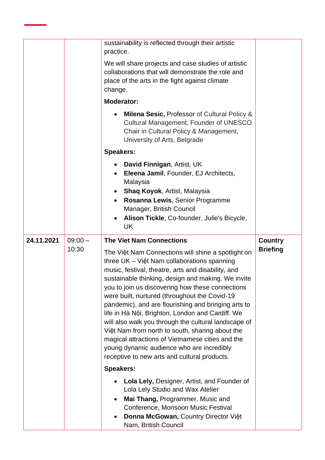|            |                    | sustainability is reflected through their artistic<br>practice.<br>We will share projects and case studies of artistic<br>collaborations that will demonstrate the role and<br>place of the arts in the fight against climate<br>change.<br><b>Moderator:</b><br><b>Milena Sesic, Professor of Cultural Policy &amp;</b><br>Cultural Management, Founder of UNESCO<br>Chair in Cultural Policy & Management,<br>University of Arts, Belgrade                                                                                                                                                                                                                                                                                                                                                                                                                                                                                                                                  |                                   |
|------------|--------------------|-------------------------------------------------------------------------------------------------------------------------------------------------------------------------------------------------------------------------------------------------------------------------------------------------------------------------------------------------------------------------------------------------------------------------------------------------------------------------------------------------------------------------------------------------------------------------------------------------------------------------------------------------------------------------------------------------------------------------------------------------------------------------------------------------------------------------------------------------------------------------------------------------------------------------------------------------------------------------------|-----------------------------------|
|            |                    | <b>Speakers:</b><br>David Finnigan, Artist, UK<br>Eleena Jamil, Founder, EJ Architects,<br>Malaysia<br><b>Shaq Koyok, Artist, Malaysia</b><br>Rosanna Lewis, Senior Programme<br>Manager, British Council<br>Alison Tickle, Co-founder, Julie's Bicycle,<br><b>UK</b>                                                                                                                                                                                                                                                                                                                                                                                                                                                                                                                                                                                                                                                                                                         |                                   |
| 24.11.2021 | $09:00 -$<br>10:30 | <b>The Viet Nam Connections</b><br>The Việt Nam Connections will shine a spotlight on<br>three UK - Việt Nam collaborations spanning<br>music, festival, theatre, arts and disability, and<br>sustainable thinking, design and making. We invite<br>you to join us discovering how these connections<br>were built, nurtured (throughout the Covid-19<br>pandemic), and are flourishing and bringing arts to<br>life in Hà Nội, Brighton, London and Cardiff. We<br>will also walk you through the cultural landscape of<br>Việt Nam from north to south, sharing about the<br>magical attractions of Vietnamese cities and the<br>young dynamic audience who are incredibly<br>receptive to new arts and cultural products.<br><b>Speakers:</b><br>Lola Lely, Designer, Artist, and Founder of<br>Lola Lely Studio and Wax Atelier<br>Mai Thang, Programmer, Music and<br>Conference, Monsoon Music Festival<br>Donna McGowan, Country Director Việt<br>Nam, British Council | <b>Country</b><br><b>Briefing</b> |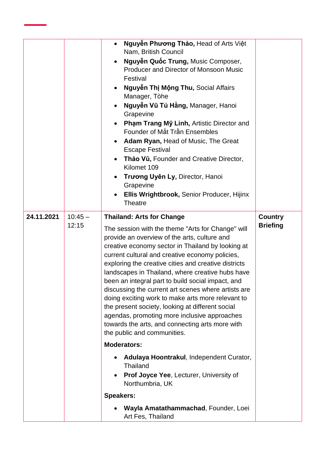|            |                    | Nguyễn Phương Thảo, Head of Arts Việt<br>$\bullet$<br>Nam, British Council<br>Nguyễn Quốc Trung, Music Composer,<br>Producer and Director of Monsoon Music<br>Festival<br>Nguyễn Thị Mộng Thu, Social Affairs<br>Manager, Tòhe<br>Nguyễn Vũ Tú Hằng, Manager, Hanoi<br>Grapevine<br>Phạm Trang Mỹ Linh, Artistic Director and<br>Founder of Mắt Trần Ensembles<br><b>Adam Ryan, Head of Music, The Great</b><br><b>Escape Festival</b><br>Thảo Vũ, Founder and Creative Director,<br>Kilomet 109<br>Trương Uyên Ly, Director, Hanoi<br>Grapevine<br>Ellis Wrightbrook, Senior Producer, Hijinx<br><b>Theatre</b>                                                                                                                                                                                                                                                    |                                   |
|------------|--------------------|---------------------------------------------------------------------------------------------------------------------------------------------------------------------------------------------------------------------------------------------------------------------------------------------------------------------------------------------------------------------------------------------------------------------------------------------------------------------------------------------------------------------------------------------------------------------------------------------------------------------------------------------------------------------------------------------------------------------------------------------------------------------------------------------------------------------------------------------------------------------|-----------------------------------|
| 24.11.2021 | $10:45 -$<br>12:15 | <b>Thailand: Arts for Change</b><br>The session with the theme "Arts for Change" will<br>provide an overview of the arts, culture and<br>creative economy sector in Thailand by looking at<br>current cultural and creative economy policies,<br>exploring the creative cities and creative districts<br>landscapes in Thailand, where creative hubs have<br>been an integral part to build social impact, and<br>discussing the current art scenes where artists are<br>doing exciting work to make arts more relevant to<br>the present society, looking at different social<br>agendas, promoting more inclusive approaches<br>towards the arts, and connecting arts more with<br>the public and communities.<br><b>Moderators:</b><br>Adulaya Hoontrakul, Independent Curator,<br><b>Thailand</b><br>Prof Joyce Yee, Lecturer, University of<br>Northumbria, UK | <b>Country</b><br><b>Briefing</b> |
|            |                    | <b>Speakers:</b><br>Wayla Amatathammachad, Founder, Loei<br>Art Fes, Thailand                                                                                                                                                                                                                                                                                                                                                                                                                                                                                                                                                                                                                                                                                                                                                                                       |                                   |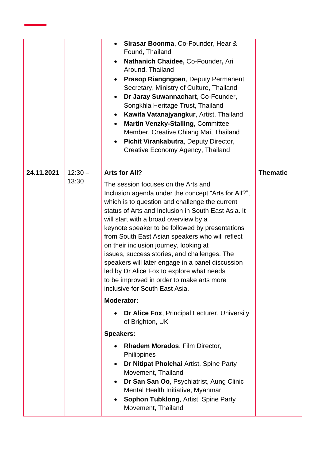|            |                    | Sirasar Boonma, Co-Founder, Hear &<br>$\bullet$<br>Found, Thailand<br>Nathanich Chaidee, Co-Founder, Ari<br>Around, Thailand<br>Prasop Riangngoen, Deputy Permanent<br>$\bullet$<br>Secretary, Ministry of Culture, Thailand<br>Dr Jaray Suwannachart, Co-Founder,<br>Songkhla Heritage Trust, Thailand<br>Kawita Vatanajyangkur, Artist, Thailand<br>$\bullet$<br>Martin Venzky-Stalling, Committee<br>Member, Creative Chiang Mai, Thailand<br>Pichit Virankabutra, Deputy Director,<br>$\bullet$<br>Creative Economy Agency, Thailand                                                                                                                           |                 |
|------------|--------------------|--------------------------------------------------------------------------------------------------------------------------------------------------------------------------------------------------------------------------------------------------------------------------------------------------------------------------------------------------------------------------------------------------------------------------------------------------------------------------------------------------------------------------------------------------------------------------------------------------------------------------------------------------------------------|-----------------|
| 24.11.2021 | $12:30 -$<br>13:30 | Arts for All?<br>The session focuses on the Arts and<br>Inclusion agenda under the concept "Arts for All?",<br>which is to question and challenge the current<br>status of Arts and Inclusion in South East Asia. It<br>will start with a broad overview by a<br>keynote speaker to be followed by presentations<br>from South East Asian speakers who will reflect<br>on their inclusion journey, looking at<br>issues, success stories, and challenges. The<br>speakers will later engage in a panel discussion<br>led by Dr Alice Fox to explore what needs<br>to be improved in order to make arts more<br>inclusive for South East Asia.<br><b>Moderator:</b> | <b>Thematic</b> |
|            |                    | Dr Alice Fox, Principal Lecturer, University<br>of Brighton, UK<br><b>Speakers:</b><br>Rhadem Morados, Film Director,<br>$\bullet$<br>Philippines<br>Dr Nitipat Pholchai Artist, Spine Party<br>$\bullet$<br>Movement, Thailand<br>Dr San San Oo, Psychiatrist, Aung Clinic<br>$\bullet$<br>Mental Health Initiative, Myanmar<br><b>Sophon Tubklong, Artist, Spine Party</b><br>٠<br>Movement, Thailand                                                                                                                                                                                                                                                            |                 |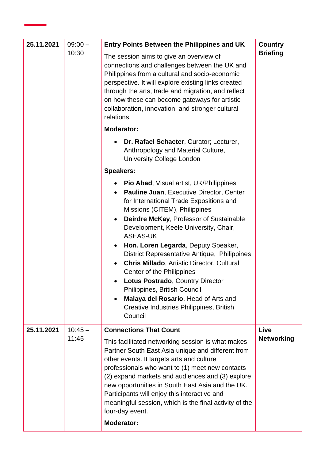| 25.11.2021 | $09:00 -$<br>10:30 | <b>Entry Points Between the Philippines and UK</b><br>The session aims to give an overview of<br>connections and challenges between the UK and<br>Philippines from a cultural and socio-economic<br>perspective. It will explore existing links created<br>through the arts, trade and migration, and reflect<br>on how these can become gateways for artistic<br>collaboration, innovation, and stronger cultural<br>relations.                                                                                                                                                                                                             | Country<br><b>Briefing</b> |
|------------|--------------------|----------------------------------------------------------------------------------------------------------------------------------------------------------------------------------------------------------------------------------------------------------------------------------------------------------------------------------------------------------------------------------------------------------------------------------------------------------------------------------------------------------------------------------------------------------------------------------------------------------------------------------------------|----------------------------|
|            |                    | <b>Moderator:</b>                                                                                                                                                                                                                                                                                                                                                                                                                                                                                                                                                                                                                            |                            |
|            |                    | Dr. Rafael Schacter, Curator; Lecturer,<br>Anthropology and Material Culture,<br><b>University College London</b>                                                                                                                                                                                                                                                                                                                                                                                                                                                                                                                            |                            |
|            |                    | <b>Speakers:</b>                                                                                                                                                                                                                                                                                                                                                                                                                                                                                                                                                                                                                             |                            |
|            |                    | Pio Abad, Visual artist, UK/Philippines<br>Pauline Juan, Executive Director, Center<br>for International Trade Expositions and<br>Missions (CITEM), Philippines<br>Deirdre McKay, Professor of Sustainable<br>$\bullet$<br>Development, Keele University, Chair,<br><b>ASEAS-UK</b><br>Hon. Loren Legarda, Deputy Speaker,<br>$\bullet$<br>District Representative Antique, Philippines<br><b>Chris Millado, Artistic Director, Cultural</b><br>Center of the Philippines<br>Lotus Postrado, Country Director<br>Philippines, British Council<br>Malaya del Rosario, Head of Arts and<br>Creative Industries Philippines, British<br>Council |                            |
| 25.11.2021 | $10:45 -$<br>11:45 | <b>Connections That Count</b><br>This facilitated networking session is what makes<br>Partner South East Asia unique and different from<br>other events. It targets arts and culture<br>professionals who want to (1) meet new contacts<br>(2) expand markets and audiences and (3) explore<br>new opportunities in South East Asia and the UK.<br>Participants will enjoy this interactive and<br>meaningful session, which is the final activity of the<br>four-day event.                                                                                                                                                                 | Live<br><b>Networking</b>  |
|            |                    | <b>Moderator:</b>                                                                                                                                                                                                                                                                                                                                                                                                                                                                                                                                                                                                                            |                            |